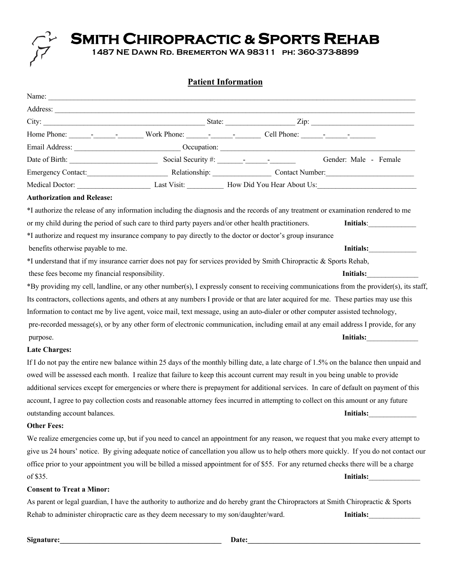

# **Patient Information**

| Name:                                                                                 |                                                                                                                                 |                                                                                                                                                                                                                                                                                                                                                              |
|---------------------------------------------------------------------------------------|---------------------------------------------------------------------------------------------------------------------------------|--------------------------------------------------------------------------------------------------------------------------------------------------------------------------------------------------------------------------------------------------------------------------------------------------------------------------------------------------------------|
|                                                                                       |                                                                                                                                 |                                                                                                                                                                                                                                                                                                                                                              |
|                                                                                       |                                                                                                                                 | City: $\frac{1}{\sqrt{2}}$ State: $\frac{1}{\sqrt{2}}$ $\frac{1}{\sqrt{2}}$ $\frac{1}{\sqrt{2}}$ $\frac{1}{\sqrt{2}}$ $\frac{1}{\sqrt{2}}$ $\frac{1}{\sqrt{2}}$ $\frac{1}{\sqrt{2}}$ $\frac{1}{\sqrt{2}}$ $\frac{1}{\sqrt{2}}$ $\frac{1}{\sqrt{2}}$ $\frac{1}{\sqrt{2}}$ $\frac{1}{\sqrt{2}}$ $\frac{1}{\sqrt{2}}$ $\frac{1}{\sqrt{2}}$ $\frac{1}{\sqrt{2}}$ |
|                                                                                       |                                                                                                                                 |                                                                                                                                                                                                                                                                                                                                                              |
|                                                                                       |                                                                                                                                 | Email Address: Occupation: Occupation:                                                                                                                                                                                                                                                                                                                       |
|                                                                                       | Date of Birth: Social Security #: Social Security #: Social Security #: Gender: Male - Female                                   |                                                                                                                                                                                                                                                                                                                                                              |
|                                                                                       |                                                                                                                                 | Emergency Contact: Relationship: Contact Number: Contact Number:                                                                                                                                                                                                                                                                                             |
|                                                                                       |                                                                                                                                 |                                                                                                                                                                                                                                                                                                                                                              |
| <b>Authorization and Release:</b>                                                     |                                                                                                                                 |                                                                                                                                                                                                                                                                                                                                                              |
|                                                                                       |                                                                                                                                 | *I authorize the release of any information including the diagnosis and the records of any treatment or examination rendered to me                                                                                                                                                                                                                           |
|                                                                                       | or my child during the period of such care to third party payers and/or other health practitioners.                             | Initials:                                                                                                                                                                                                                                                                                                                                                    |
|                                                                                       | *I authorize and request my insurance company to pay directly to the doctor or doctor's group insurance                         |                                                                                                                                                                                                                                                                                                                                                              |
| benefits otherwise payable to me.                                                     |                                                                                                                                 | Initials:                                                                                                                                                                                                                                                                                                                                                    |
|                                                                                       | *I understand that if my insurance carrier does not pay for services provided by Smith Chiropractic & Sports Rehab,             |                                                                                                                                                                                                                                                                                                                                                              |
| these fees become my financial responsibility.                                        |                                                                                                                                 | Initials:                                                                                                                                                                                                                                                                                                                                                    |
|                                                                                       |                                                                                                                                 | *By providing my cell, landline, or any other number(s), I expressly consent to receiving communications from the provider(s), its staff,                                                                                                                                                                                                                    |
|                                                                                       |                                                                                                                                 | Its contractors, collections agents, and others at any numbers I provide or that are later acquired for me. These parties may use this                                                                                                                                                                                                                       |
|                                                                                       | Information to contact me by live agent, voice mail, text message, using an auto-dialer or other computer assisted technology,  |                                                                                                                                                                                                                                                                                                                                                              |
|                                                                                       |                                                                                                                                 | pre-recorded message(s), or by any other form of electronic communication, including email at any email address I provide, for any                                                                                                                                                                                                                           |
| purpose.                                                                              |                                                                                                                                 | Initials:                                                                                                                                                                                                                                                                                                                                                    |
| <b>Late Charges:</b>                                                                  |                                                                                                                                 |                                                                                                                                                                                                                                                                                                                                                              |
|                                                                                       |                                                                                                                                 | If I do not pay the entire new balance within 25 days of the monthly billing date, a late charge of 1.5% on the balance then unpaid and                                                                                                                                                                                                                      |
|                                                                                       | owed will be assessed each month. I realize that failure to keep this account current may result in you being unable to provide |                                                                                                                                                                                                                                                                                                                                                              |
|                                                                                       |                                                                                                                                 | additional services except for emergencies or where there is prepayment for additional services. In care of default on payment of this                                                                                                                                                                                                                       |
|                                                                                       |                                                                                                                                 | account, I agree to pay collection costs and reasonable attorney fees incurred in attempting to collect on this amount or any future                                                                                                                                                                                                                         |
| outstanding account balances.                                                         |                                                                                                                                 | Initials:                                                                                                                                                                                                                                                                                                                                                    |
| <b>Other Fees:</b>                                                                    |                                                                                                                                 |                                                                                                                                                                                                                                                                                                                                                              |
|                                                                                       |                                                                                                                                 | We realize emergencies come up, but if you need to cancel an appointment for any reason, we request that you make every attempt to                                                                                                                                                                                                                           |
|                                                                                       |                                                                                                                                 | give us 24 hours' notice. By giving adequate notice of cancellation you allow us to help others more quickly. If you do not contact our                                                                                                                                                                                                                      |
|                                                                                       |                                                                                                                                 | office prior to your appointment you will be billed a missed appointment for of \$55. For any returned checks there will be a charge                                                                                                                                                                                                                         |
| of \$35.                                                                              |                                                                                                                                 |                                                                                                                                                                                                                                                                                                                                                              |
| <b>Consent to Treat a Minor:</b>                                                      |                                                                                                                                 |                                                                                                                                                                                                                                                                                                                                                              |
|                                                                                       |                                                                                                                                 | As parent or legal guardian, I have the authority to authorize and do hereby grant the Chiropractors at Smith Chiropractic & Sports                                                                                                                                                                                                                          |
| Rehab to administer chiropractic care as they deem necessary to my son/daughter/ward. |                                                                                                                                 | Initials:                                                                                                                                                                                                                                                                                                                                                    |

**Signature:\_\_\_\_\_\_\_\_\_\_\_\_\_\_\_\_\_\_\_\_\_\_\_\_\_\_\_\_\_\_\_\_\_\_\_\_\_\_\_\_\_\_\_\_ Date:\_\_\_\_\_\_\_\_\_\_\_\_\_\_\_\_\_\_\_\_\_\_\_\_\_\_\_\_\_\_\_\_\_\_\_\_\_\_\_\_\_\_\_\_\_\_\_**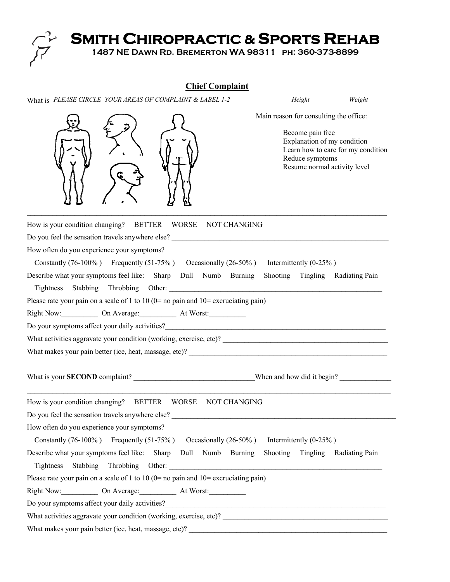

# **Chief Complaint**

What is PLEASE CIRCLE YOUR AREAS OF COMPLAINT & LABEL 1-2 *Height\_\_\_\_\_\_\_\_\_\_\_\_\_ Weight\_\_\_\_\_\_\_\_\_* 



Main reason for consulting the office:

 Become pain free Explanation of my condition Learn how to care for my condition Reduce symptoms Resume normal activity level

| How is your condition changing? BETTER WORSE<br>NOT CHANGING                                    |                                  |  |  |  |
|-------------------------------------------------------------------------------------------------|----------------------------------|--|--|--|
|                                                                                                 |                                  |  |  |  |
| How often do you experience your symptoms?                                                      |                                  |  |  |  |
| Constantly (76-100%) Frequently (51-75%) Occasionally (26-50%) Intermittently (0-25%)           |                                  |  |  |  |
| Describe what your symptoms feel like: Sharp Dull Numb Burning Shooting Tingling Radiating Pain |                                  |  |  |  |
|                                                                                                 |                                  |  |  |  |
| Please rate your pain on a scale of 1 to 10 ( $0=$ no pain and $10=$ excruciating pain)         |                                  |  |  |  |
| Right Now: On Average: At Worst:                                                                |                                  |  |  |  |
|                                                                                                 |                                  |  |  |  |
|                                                                                                 |                                  |  |  |  |
|                                                                                                 |                                  |  |  |  |
| How is your condition changing? BETTER WORSE NOT CHANGING                                       |                                  |  |  |  |
| Do you feel the sensation travels anywhere else?                                                |                                  |  |  |  |
| How often do you experience your symptoms?                                                      |                                  |  |  |  |
| Constantly (76-100%) Frequently (51-75%) Occasionally (26-50%) Intermittently (0-25%)           |                                  |  |  |  |
| Describe what your symptoms feel like: Sharp Dull Numb Burning                                  | Shooting Tingling Radiating Pain |  |  |  |
|                                                                                                 |                                  |  |  |  |
| Please rate your pain on a scale of 1 to 10 ( $0=$ no pain and $10=$ excruciating pain)         |                                  |  |  |  |
| Right Now: On Average: At Worst:                                                                |                                  |  |  |  |
|                                                                                                 |                                  |  |  |  |
|                                                                                                 |                                  |  |  |  |
|                                                                                                 |                                  |  |  |  |
|                                                                                                 |                                  |  |  |  |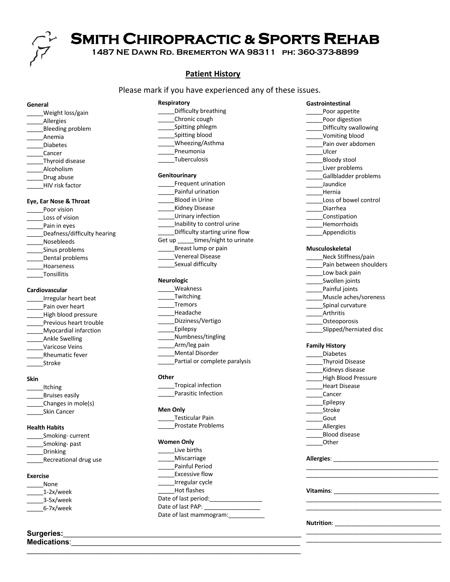

## **Patient History**

Difficulty breathing

Please mark if you have experienced any of these issues.

#### **General**

- \_\_\_\_\_Weight loss/gain \_\_\_\_\_Allergies \_Bleeding problem \_\_\_\_\_Anemia \_\_\_\_\_Diabetes \_\_\_\_\_Cancer \_\_\_\_\_Thyroid disease \_\_\_\_\_Alcoholism
- \_\_\_\_\_Drug abuse
- \_\_\_\_\_HIV risk factor

#### **Eye, Ear Nose & Throat**

- Poor vision \_\_\_\_\_Loss of vision Pain in eyes \_\_\_\_\_Deafness/difficulty hearing \_\_\_\_\_Nosebleeds Sinus problems \_\_\_\_\_Dental problems
- \_\_\_\_\_Hoarseness \_\_\_\_\_Tonsillitis

# **Cardiovascular**

- \_\_\_\_\_Irregular heart beat Pain over heart High blood pressure Previous heart trouble \_\_\_\_\_Myocardial infarction \_\_\_\_\_Ankle Swelling \_\_\_\_\_Varicose Veins \_\_\_\_\_Rheumatic fever
- \_\_\_\_\_Stroke

#### **Skin**

- \_\_\_\_\_Itching \_\_\_\_\_Bruises easily
- \_\_\_\_\_Changes in mole(s)
- \_\_\_\_\_Skin Cancer

### **Health Habits**

|  | Smoking-current |
|--|-----------------|
|  |                 |

- \_\_\_\_\_Smoking- past \_\_\_\_\_Drinking
- \_Recreational drug use

#### **Exercise**

- \_\_\_\_\_None \_\_\_\_\_1-2x/week
- \_\_\_\_\_3-5x/week \_\_\_\_\_6-7x/week
- 

### **Surgeries:**\_\_\_\_\_\_\_\_\_\_\_\_\_\_\_\_\_\_\_\_\_\_\_\_\_\_\_\_\_\_\_\_\_\_\_\_\_\_\_\_\_\_\_\_\_\_\_\_\_\_\_\_\_\_\_\_\_\_\_\_\_\_\_\_\_\_\_\_\_\_\_\_\_\_\_\_\_\_\_\_\_\_\_\_\_\_\_) **Medications:**

| Chronic cough                  |
|--------------------------------|
| Spitting phlegm                |
| Spitting blood                 |
| Wheezing/Asthma                |
| Pneumonia                      |
| <b>Tuberculosis</b>            |
|                                |
| Genitourinarv                  |
| Frequent urination             |
| Painful urination              |
| <b>Blood in Urine</b>          |
| Kidney Disease                 |
| Urinary infection              |
| Inability to control urine     |
| Difficulty starting urine flow |

- Get up \_\_\_\_\_times/night to urinate \_\_\_\_\_Breast lump or pain
- \_\_\_\_\_Venereal Disease Sexual difficulty

#### **Neurologic**

**Respiratory**

- \_\_\_\_\_Weakness \_\_\_\_\_Twitching \_\_\_\_\_Tremors \_\_\_\_\_Headache \_\_\_\_\_Dizziness/Vertigo Epilepsy \_\_\_\_\_Numbness/tingling \_\_\_\_\_Arm/leg pain
- \_\_\_\_\_Mental Disorder
- Partial or complete paralysis

#### **Other**

- \_\_\_\_\_Tropical infection
- Parasitic Infection

### **Men Only**

\_\_\_\_\_Testicular Pain \_\_\_\_\_Prostate Problems

#### **Women Only**

\_\_\_\_\_\_\_\_\_\_\_\_\_\_\_\_\_\_\_\_\_\_\_\_\_\_\_\_\_\_\_\_\_\_\_\_\_\_\_\_\_\_\_\_\_\_\_\_\_\_\_\_\_\_\_\_\_\_\_\_\_\_\_\_\_\_\_

| Live births           |  |
|-----------------------|--|
| Miscarriage           |  |
| <b>Painful Period</b> |  |
| <b>Excessive flow</b> |  |
| Irregular cycle       |  |
| Hot flashes           |  |
| Date of last period:  |  |
| Date of last PAP:     |  |

Date of last mammogram:

- **Gastrointestinal** \_\_\_\_\_Poor appetite Poor digestion Difficulty swallowing \_\_\_\_\_Vomiting blood Pain over abdomen \_\_\_\_\_Ulcer \_\_\_\_\_Bloody stool \_\_\_\_\_Liver problems \_\_\_\_\_Gallbladder problems \_\_\_\_\_Jaundice \_\_\_\_\_Hernia Loss of bowel control Diarrhea \_\_\_\_\_Constipation \_\_\_\_\_Hemorrhoids
- 

\_\_\_\_\_Appendicitis

#### **Musculoskeletal**  $N_A = 1$ . CAILE

| Neck Stiffness/pain    |
|------------------------|
| Pain between shoulders |
| Low back pain          |
| Swollen joints         |
| Painful joints         |
| Muscle aches/soreness  |
| Spinal curvature       |
| <b>Arthritis</b>       |
| Osteoporosis           |
| Slipped/herniated disc |
|                        |

### **Family History**

| Diabetes               |
|------------------------|
| <b>Thyroid Disease</b> |
| Kidneys disease        |
| High Blood Pressure    |
| <b>Heart Disease</b>   |
| Cancer                 |
| Epilepsy               |
| Stroke                 |
| Gout                   |
| Allergies              |
| <b>Blood disease</b>   |
| Other                  |
|                        |

#### **Allergies**: \_\_\_\_\_\_\_\_\_\_\_\_\_\_\_\_\_\_\_\_\_\_\_\_\_\_\_\_\_\_\_\_

## **Vitamins**: \_\_\_\_\_\_\_\_\_\_\_\_\_\_\_\_\_\_\_\_\_\_\_\_\_\_\_\_\_\_\_\_ \_\_\_\_\_\_\_\_\_\_\_\_\_\_\_\_\_\_\_\_\_\_\_\_\_\_\_\_\_\_\_\_\_\_\_\_\_\_\_\_\_

\_\_\_\_\_\_\_\_\_\_\_\_\_\_\_\_\_\_\_\_\_\_\_\_\_\_\_\_\_\_\_\_\_\_\_\_\_\_\_\_ \_\_\_\_\_\_\_\_\_\_\_\_\_\_\_\_\_\_\_\_\_\_\_\_\_\_\_\_\_\_\_\_\_\_\_\_\_\_\_\_

\_\_\_\_\_\_\_\_\_\_\_\_\_\_\_\_\_\_\_\_\_\_\_\_\_\_\_\_\_\_\_\_\_\_\_\_\_\_\_\_\_

\_\_\_\_\_\_\_\_\_\_\_\_\_\_\_\_\_\_\_\_\_\_\_\_\_\_\_\_\_\_\_\_\_\_\_\_\_\_\_\_\_ \_\_\_\_\_\_\_\_\_\_\_\_\_\_\_\_\_\_\_\_\_\_\_\_\_\_\_\_\_\_\_\_\_\_\_\_\_\_\_\_\_

#### **Nutrition**: \_\_\_\_\_\_\_\_\_\_\_\_\_\_\_\_\_\_\_\_\_\_\_\_\_\_\_\_\_\_\_\_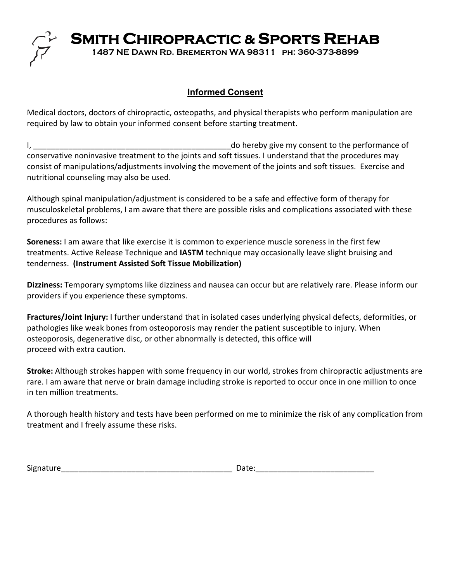

# **Informed Consent**

Medical doctors, doctors of chiropractic, osteopaths, and physical therapists who perform manipulation are required by law to obtain your informed consent before starting treatment.

I, the consention of the consention of the performance of the performance of the performance of conservative noninvasive treatment to the joints and soft tissues. I understand that the procedures may consist of manipulations/adjustments involving the movement of the joints and soft tissues. Exercise and nutritional counseling may also be used.

Although spinal manipulation/adjustment is considered to be a safe and effective form of therapy for musculoskeletal problems, I am aware that there are possible risks and complications associated with these procedures as follows:

**Soreness:** I am aware that like exercise it is common to experience muscle soreness in the first few treatments. Active Release Technique and **IASTM** technique may occasionally leave slight bruising and tenderness. **(Instrument Assisted Soft Tissue Mobilization)**

**Dizziness:** Temporary symptoms like dizziness and nausea can occur but are relatively rare. Please inform our providers if you experience these symptoms.

**Fractures/Joint Injury:** I further understand that in isolated cases underlying physical defects, deformities, or pathologies like weak bones from osteoporosis may render the patient susceptible to injury. When osteoporosis, degenerative disc, or other abnormally is detected, this office will proceed with extra caution.

**Stroke:** Although strokes happen with some frequency in our world, strokes from chiropractic adjustments are rare. I am aware that nerve or brain damage including stroke is reported to occur once in one million to once in ten million treatments.

A thorough health history and tests have been performed on me to minimize the risk of any complication from treatment and I freely assume these risks.

| - -<br>.<br>Signa |  |
|-------------------|--|
|                   |  |